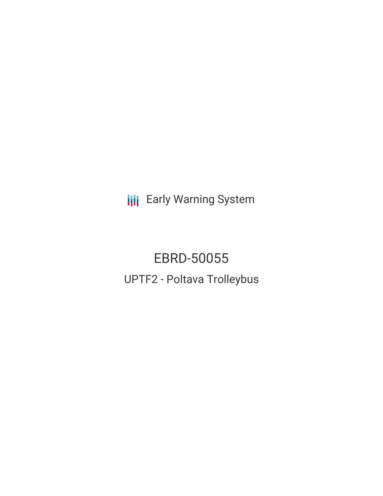**III** Early Warning System

EBRD-50055 UPTF2 - Poltava Trolleybus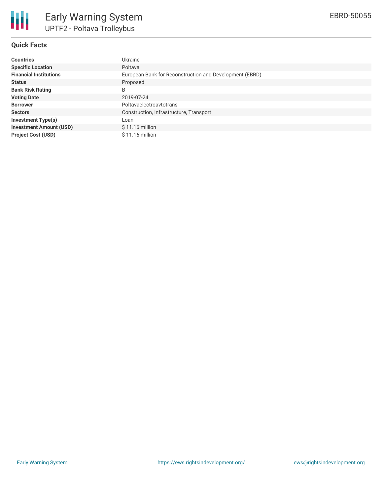

## **Quick Facts**

| <b>Countries</b>               | Ukraine                                                 |
|--------------------------------|---------------------------------------------------------|
| <b>Specific Location</b>       | Poltava                                                 |
| <b>Financial Institutions</b>  | European Bank for Reconstruction and Development (EBRD) |
| <b>Status</b>                  | Proposed                                                |
| <b>Bank Risk Rating</b>        | B                                                       |
| <b>Voting Date</b>             | 2019-07-24                                              |
| <b>Borrower</b>                | Poltavaelectroavtotrans                                 |
| <b>Sectors</b>                 | Construction, Infrastructure, Transport                 |
| <b>Investment Type(s)</b>      | Loan                                                    |
| <b>Investment Amount (USD)</b> | $$11.16$ million                                        |
| <b>Project Cost (USD)</b>      | $$11.16$ million                                        |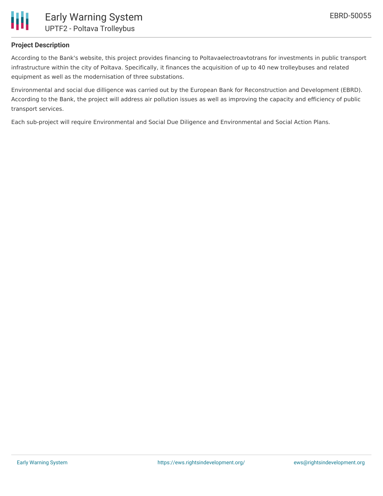

### **Project Description**

According to the Bank's website, this project provides financing to Poltavaelectroavtotrans for investments in public transport infrastructure within the city of Poltava. Specifically, it finances the acquisition of up to 40 new trolleybuses and related equipment as well as the modernisation of three substations.

Environmental and social due dilligence was carried out by the European Bank for Reconstruction and Development (EBRD). According to the Bank, the project will address air pollution issues as well as improving the capacity and efficiency of public transport services.

Each sub-project will require Environmental and Social Due Diligence and Environmental and Social Action Plans.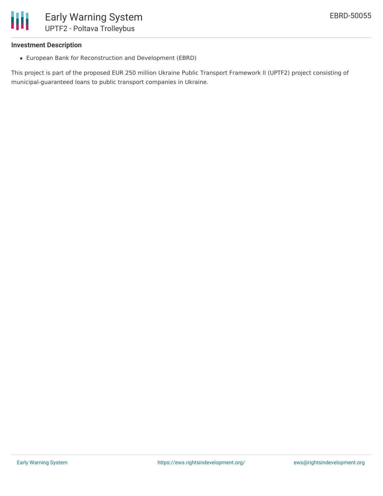

### **Investment Description**

European Bank for Reconstruction and Development (EBRD)

This project is part of the proposed EUR 250 million Ukraine Public Transport Framework II (UPTF2) project consisting of municipal-guaranteed loans to public transport companies in Ukraine.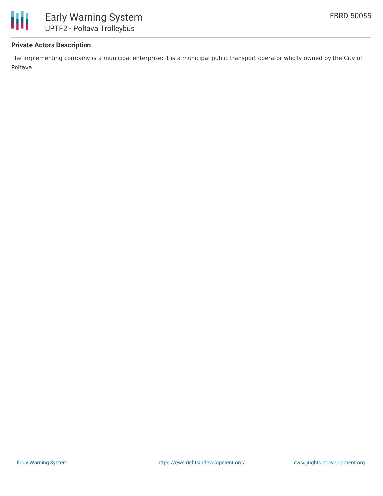

## **Private Actors Description**

The implementing company is a municipal enterprise; it is a municipal public transport operator wholly owned by the City of Poltava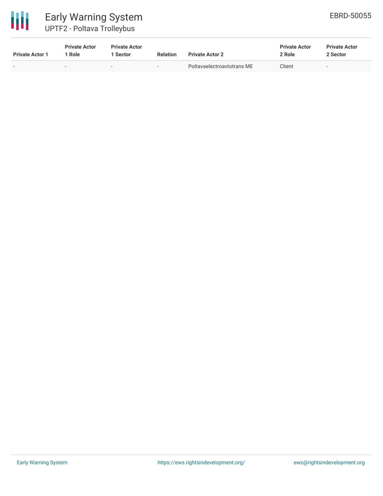

# Early Warning System UPTF2 - Poltava Trolleybus

| <b>Private Actor 1</b> | <b>Private Actor</b><br><sup>1</sup> Role | <b>Private Actor</b><br><b>Sector</b> | <b>Relation</b>          | <b>Private Actor 2</b>     | <b>Private Actor</b><br>2 Role | <b>Private Actor</b><br>2 Sector |
|------------------------|-------------------------------------------|---------------------------------------|--------------------------|----------------------------|--------------------------------|----------------------------------|
| $\sim$                 | $\sim$                                    |                                       | $\overline{\phantom{0}}$ | Poltavaelectroavtotrans ME | Client                         | $\overline{\phantom{0}}$         |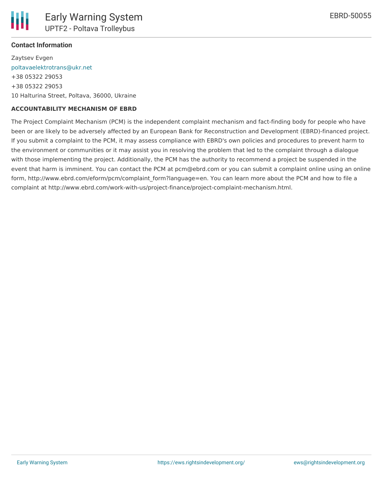### **Contact Information**

Zaytsev Evgen [poltavaelektrotrans@ukr.net](mailto:poltavaelektrotrans@ukr.net) +38 05322 29053 +38 05322 29053 10 Halturina Street, Poltava, 36000, Ukraine

### **ACCOUNTABILITY MECHANISM OF EBRD**

The Project Complaint Mechanism (PCM) is the independent complaint mechanism and fact-finding body for people who have been or are likely to be adversely affected by an European Bank for Reconstruction and Development (EBRD)-financed project. If you submit a complaint to the PCM, it may assess compliance with EBRD's own policies and procedures to prevent harm to the environment or communities or it may assist you in resolving the problem that led to the complaint through a dialogue with those implementing the project. Additionally, the PCM has the authority to recommend a project be suspended in the event that harm is imminent. You can contact the PCM at pcm@ebrd.com or you can submit a complaint online using an online form, http://www.ebrd.com/eform/pcm/complaint\_form?language=en. You can learn more about the PCM and how to file a complaint at http://www.ebrd.com/work-with-us/project-finance/project-complaint-mechanism.html.